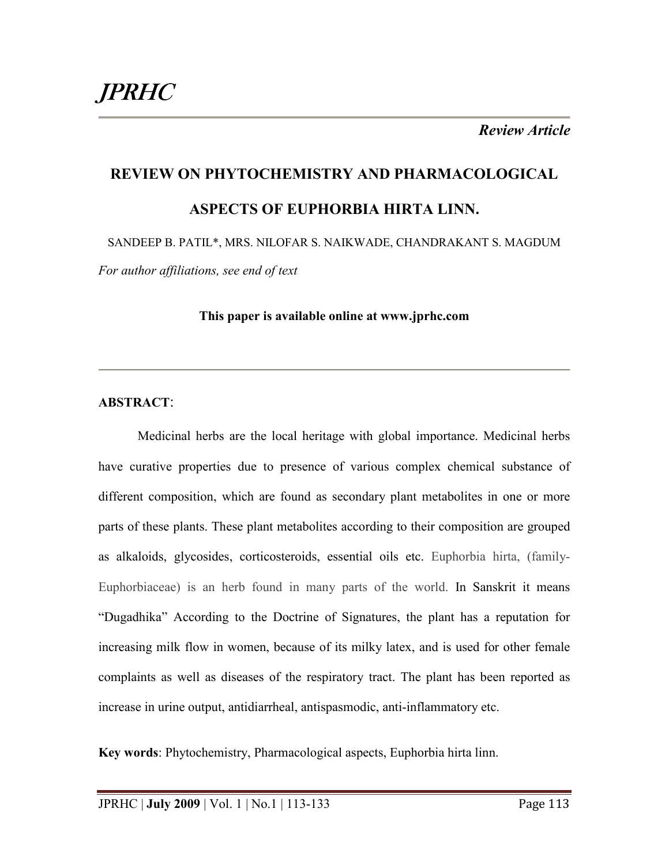*Review Article* 

# **REVIEW ON PHYTOCHEMISTRY AND PHARMACOLOGICAL ASPECTS OF EUPHORBIA HIRTA LINN.**

SANDEEP B. PATIL\*, MRS. NILOFAR S. NAIKWADE, CHANDRAKANT S. MAGDUM *For author affiliations, see end of text* 

**This paper is available online at www.jprhc.com** 

# **ABSTRACT**:

Medicinal herbs are the local heritage with global importance. Medicinal herbs have curative properties due to presence of various complex chemical substance of different composition, which are found as secondary plant metabolites in one or more parts of these plants. These plant metabolites according to their composition are grouped as alkaloids, glycosides, corticosteroids, essential oils etc. Euphorbia hirta, (family-Euphorbiaceae) is an herb found in many parts of the world. In Sanskrit it means "Dugadhika" According to the Doctrine of Signatures, the plant has a reputation for increasing milk flow in women, because of its milky latex, and is used for other female complaints as well as diseases of the respiratory tract. The plant has been reported as increase in urine output, antidiarrheal, antispasmodic, anti-inflammatory etc.

**Key words**: Phytochemistry, Pharmacological aspects, Euphorbia hirta linn.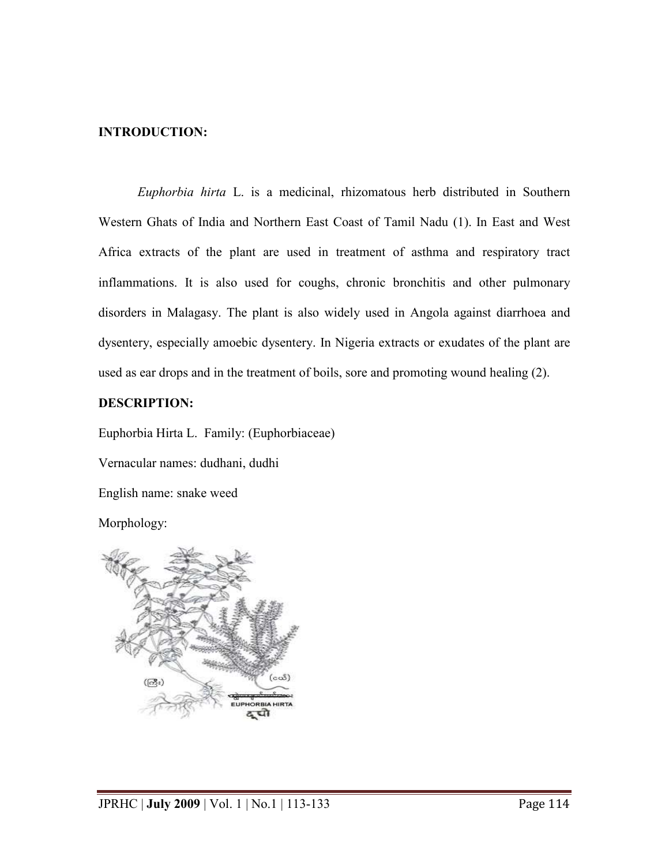## **INTRODUCTION:**

*Euphorbia hirta* L. is a medicinal, rhizomatous herb distributed in Southern Western Ghats of India and Northern East Coast of Tamil Nadu (1). In East and West Africa extracts of the plant are used in treatment of asthma and respiratory tract inflammations. It is also used for coughs, chronic bronchitis and other pulmonary disorders in Malagasy. The plant is also widely used in Angola against diarrhoea and dysentery, especially amoebic dysentery. In Nigeria extracts or exudates of the plant are used as ear drops and in the treatment of boils, sore and promoting wound healing (2).

## **DESCRIPTION:**

Euphorbia Hirta L. Family: (Euphorbiaceae)

Vernacular names: dudhani, dudhi

English name: snake weed

Morphology:

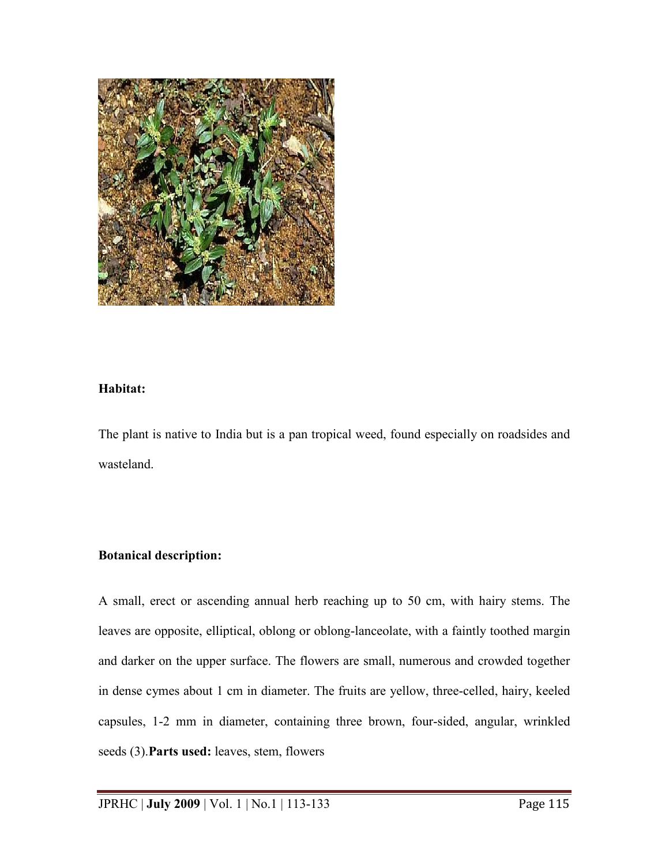

# **Habitat:**

The plant is native to India but is a pan tropical weed, found especially on roadsides and wasteland.

# **Botanical description:**

A small, erect or ascending annual herb reaching up to 50 cm, with hairy stems. The leaves are opposite, elliptical, oblong or oblong-lanceolate, with a faintly toothed margin and darker on the upper surface. The flowers are small, numerous and crowded together in dense cymes about 1 cm in diameter. The fruits are yellow, three-celled, hairy, keeled capsules, 1-2 mm in diameter, containing three brown, four-sided, angular, wrinkled seeds (3).**Parts used:** leaves, stem, flowers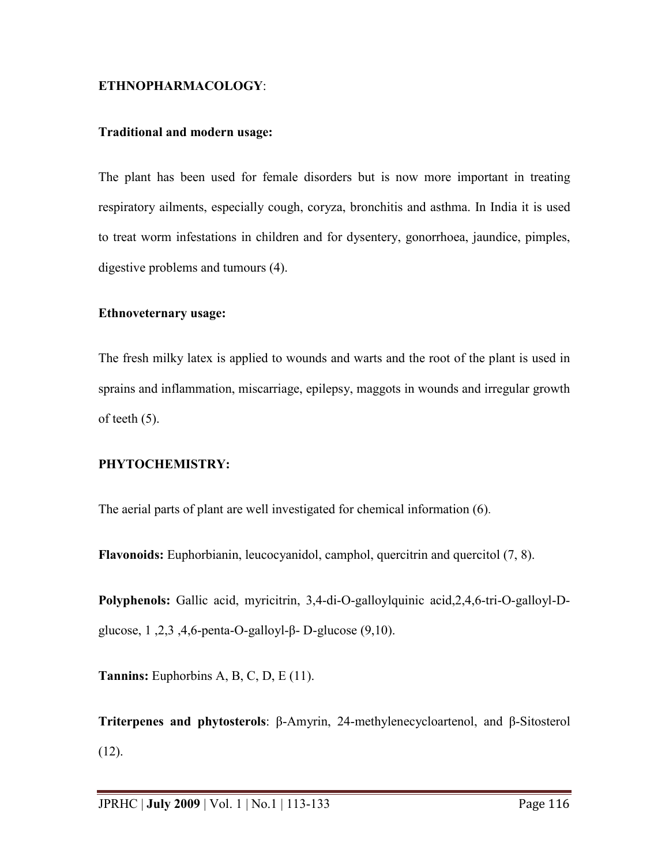## **ETHNOPHARMACOLOGY**:

## **Traditional and modern usage:**

The plant has been used for female disorders but is now more important in treating respiratory ailments, especially cough, coryza, bronchitis and asthma. In India it is used to treat worm infestations in children and for dysentery, gonorrhoea, jaundice, pimples, digestive problems and tumours (4).

#### **Ethnoveternary usage:**

The fresh milky latex is applied to wounds and warts and the root of the plant is used in sprains and inflammation, miscarriage, epilepsy, maggots in wounds and irregular growth of teeth (5).

## **PHYTOCHEMISTRY:**

The aerial parts of plant are well investigated for chemical information (6).

**Flavonoids:** Euphorbianin, leucocyanidol, camphol, quercitrin and quercitol (7, 8).

**Polyphenols:** Gallic acid, myricitrin, 3,4-di-O-galloylquinic acid,2,4,6-tri-O-galloyl-Dglucose, 1 ,2,3 ,4,6-penta-O-galloyl-β- D-glucose (9,10).

**Tannins:** Euphorbins A, B, C, D, E (11).

**Triterpenes and phytosterols**: β-Amyrin, 24-methylenecycloartenol, and β-Sitosterol  $(12)$ .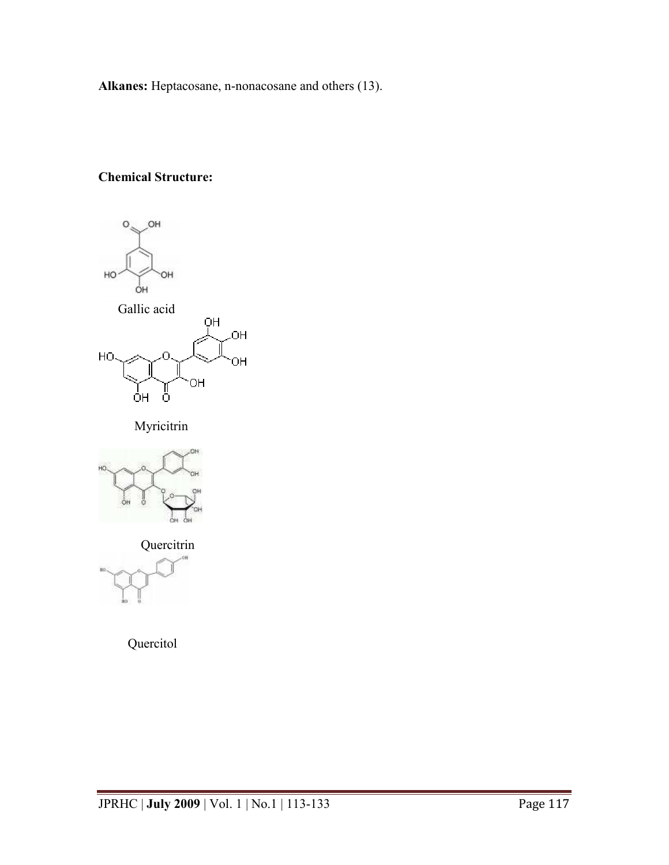**Alkanes:** Heptacosane, n-nonacosane and others (13).

# **Chemical Structure:**



Myricitrin



**Quercitrin** 

Quercitol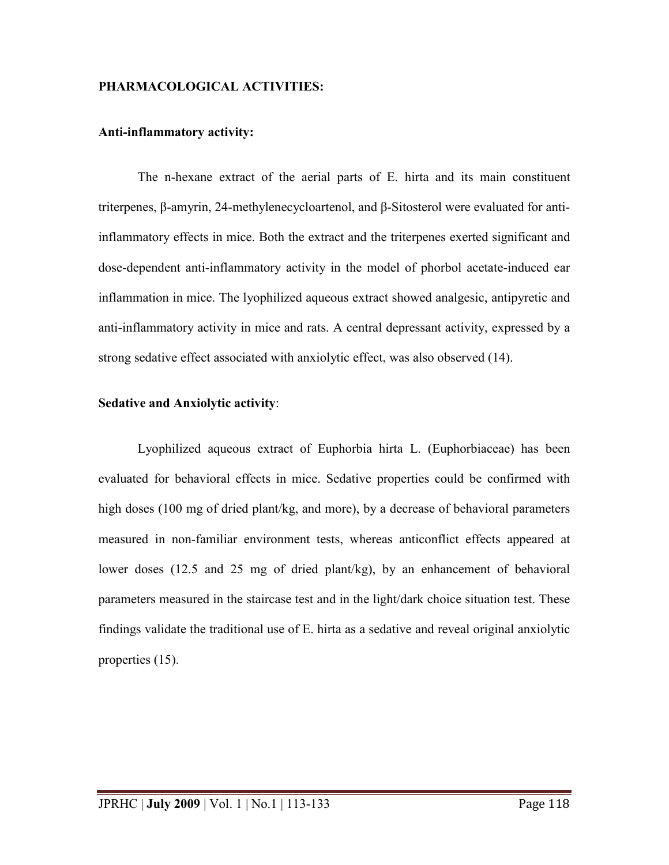## **PHARMACOLOGICAL ACTIVITIES:**

#### **Anti-inflammatory activity:**

The n-hexane extract of the aerial parts of E. hirta and its main constituent triterpenes, β-amyrin, 24-methylenecycloartenol, and β-Sitosterol were evaluated for antiinflammatory effects in mice. Both the extract and the triterpenes exerted significant and dose-dependent anti-inflammatory activity in the model of phorbol acetate-induced ear inflammation in mice. The lyophilized aqueous extract showed analgesic, antipyretic and anti-inflammatory activity in mice and rats. A central depressant activity, expressed by a strong sedative effect associated with anxiolytic effect, was also observed (14).

#### **Sedative and Anxiolytic activity**:

Lyophilized aqueous extract of Euphorbia hirta L. (Euphorbiaceae) has been evaluated for behavioral effects in mice. Sedative properties could be confirmed with high doses (100 mg of dried plant/kg, and more), by a decrease of behavioral parameters measured in non-familiar environment tests, whereas anticonflict effects appeared at lower doses (12.5 and 25 mg of dried plant/kg), by an enhancement of behavioral parameters measured in the staircase test and in the light/dark choice situation test. These findings validate the traditional use of E. hirta as a sedative and reveal original anxiolytic properties (15).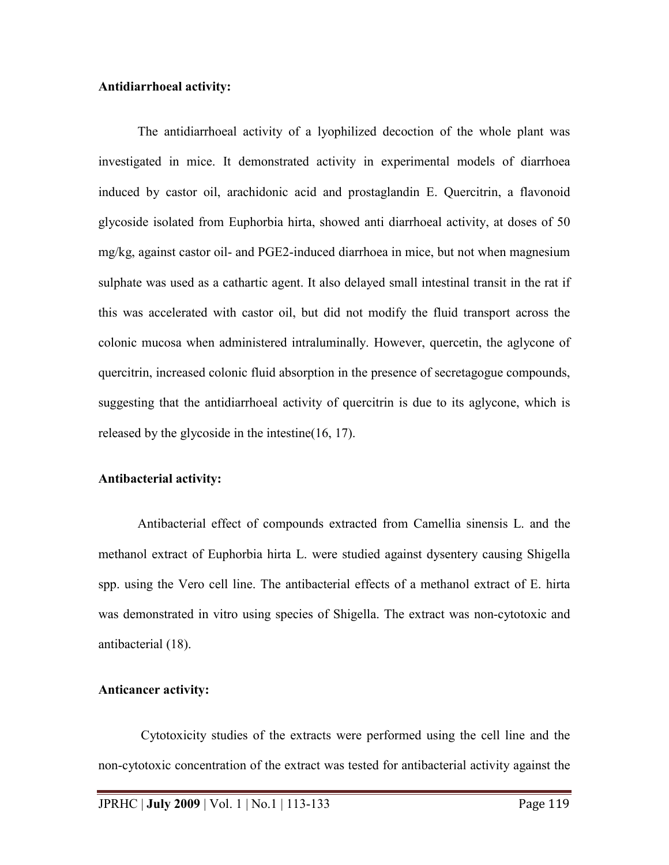## **Antidiarrhoeal activity:**

The antidiarrhoeal activity of a lyophilized decoction of the whole plant was investigated in mice. It demonstrated activity in experimental models of diarrhoea induced by castor oil, arachidonic acid and prostaglandin E. Quercitrin, a flavonoid glycoside isolated from Euphorbia hirta, showed anti diarrhoeal activity, at doses of 50 mg/kg, against castor oil- and PGE2-induced diarrhoea in mice, but not when magnesium sulphate was used as a cathartic agent. It also delayed small intestinal transit in the rat if this was accelerated with castor oil, but did not modify the fluid transport across the colonic mucosa when administered intraluminally. However, quercetin, the aglycone of quercitrin, increased colonic fluid absorption in the presence of secretagogue compounds, suggesting that the antidiarrhoeal activity of quercitrin is due to its aglycone, which is released by the glycoside in the intestine(16, 17).

#### **Antibacterial activity:**

Antibacterial effect of compounds extracted from Camellia sinensis L. and the methanol extract of Euphorbia hirta L. were studied against dysentery causing Shigella spp. using the Vero cell line. The antibacterial effects of a methanol extract of E. hirta was demonstrated in vitro using species of Shigella. The extract was non-cytotoxic and antibacterial (18).

#### **Anticancer activity:**

 Cytotoxicity studies of the extracts were performed using the cell line and the non-cytotoxic concentration of the extract was tested for antibacterial activity against the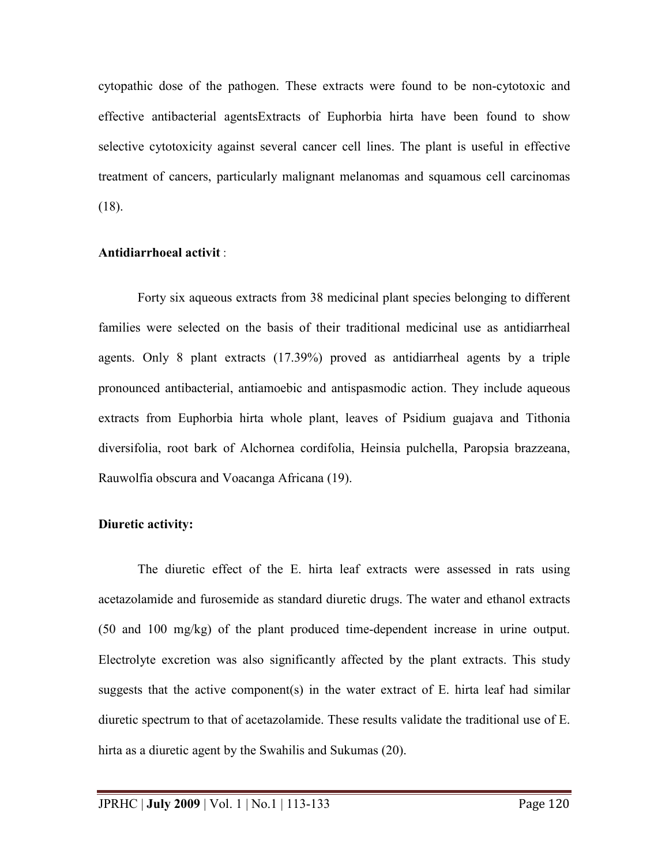cytopathic dose of the pathogen. These extracts were found to be non-cytotoxic and effective antibacterial agentsExtracts of Euphorbia hirta have been found to show selective cytotoxicity against several cancer cell lines. The plant is useful in effective treatment of cancers, particularly malignant melanomas and squamous cell carcinomas (18).

## **Antidiarrhoeal activit** :

Forty six aqueous extracts from 38 medicinal plant species belonging to different families were selected on the basis of their traditional medicinal use as antidiarrheal agents. Only 8 plant extracts (17.39%) proved as antidiarrheal agents by a triple pronounced antibacterial, antiamoebic and antispasmodic action. They include aqueous extracts from Euphorbia hirta whole plant, leaves of Psidium guajava and Tithonia diversifolia, root bark of Alchornea cordifolia, Heinsia pulchella, Paropsia brazzeana, Rauwolfia obscura and Voacanga Africana (19).

# **Diuretic activity:**

The diuretic effect of the E. hirta leaf extracts were assessed in rats using acetazolamide and furosemide as standard diuretic drugs. The water and ethanol extracts (50 and 100 mg/kg) of the plant produced time-dependent increase in urine output. Electrolyte excretion was also significantly affected by the plant extracts. This study suggests that the active component(s) in the water extract of E. hirta leaf had similar diuretic spectrum to that of acetazolamide. These results validate the traditional use of E. hirta as a diuretic agent by the Swahilis and Sukumas (20).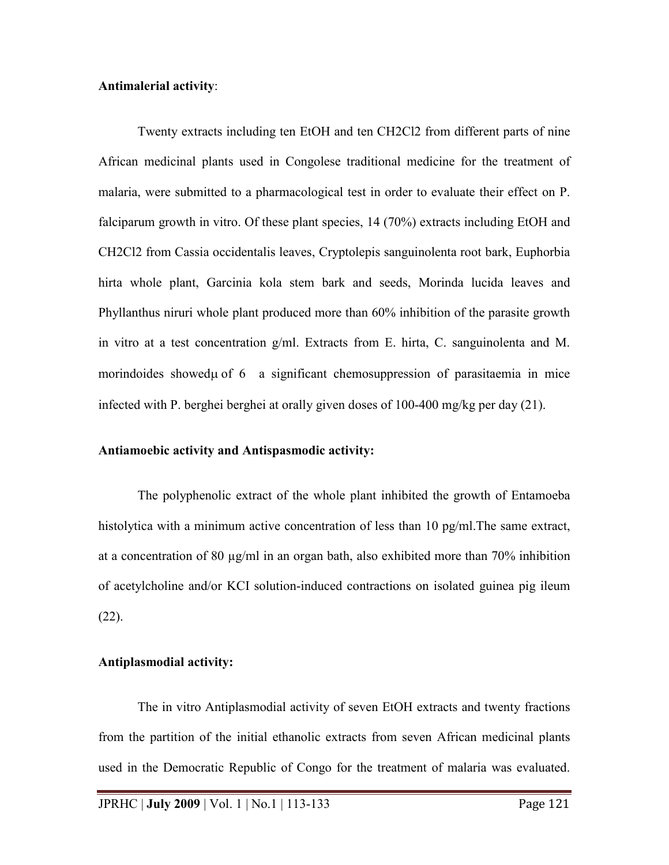#### **Antimalerial activity**:

Twenty extracts including ten EtOH and ten CH2Cl2 from different parts of nine African medicinal plants used in Congolese traditional medicine for the treatment of malaria, were submitted to a pharmacological test in order to evaluate their effect on P. falciparum growth in vitro. Of these plant species, 14 (70%) extracts including EtOH and CH2Cl2 from Cassia occidentalis leaves, Cryptolepis sanguinolenta root bark, Euphorbia hirta whole plant, Garcinia kola stem bark and seeds, Morinda lucida leaves and Phyllanthus niruri whole plant produced more than 60% inhibition of the parasite growth in vitro at a test concentration g/ml. Extracts from E. hirta, C. sanguinolenta and M. morindoides showed u of 6 a significant chemosuppression of parasitaemia in mice infected with P. berghei berghei at orally given doses of 100-400 mg/kg per day (21).

#### **Antiamoebic activity and Antispasmodic activity:**

The polyphenolic extract of the whole plant inhibited the growth of Entamoeba histolytica with a minimum active concentration of less than 10 pg/ml. The same extract, at a concentration of 80  $\mu$ g/ml in an organ bath, also exhibited more than 70% inhibition of acetylcholine and/or KCI solution-induced contractions on isolated guinea pig ileum (22).

#### **Antiplasmodial activity:**

The in vitro Antiplasmodial activity of seven EtOH extracts and twenty fractions from the partition of the initial ethanolic extracts from seven African medicinal plants used in the Democratic Republic of Congo for the treatment of malaria was evaluated.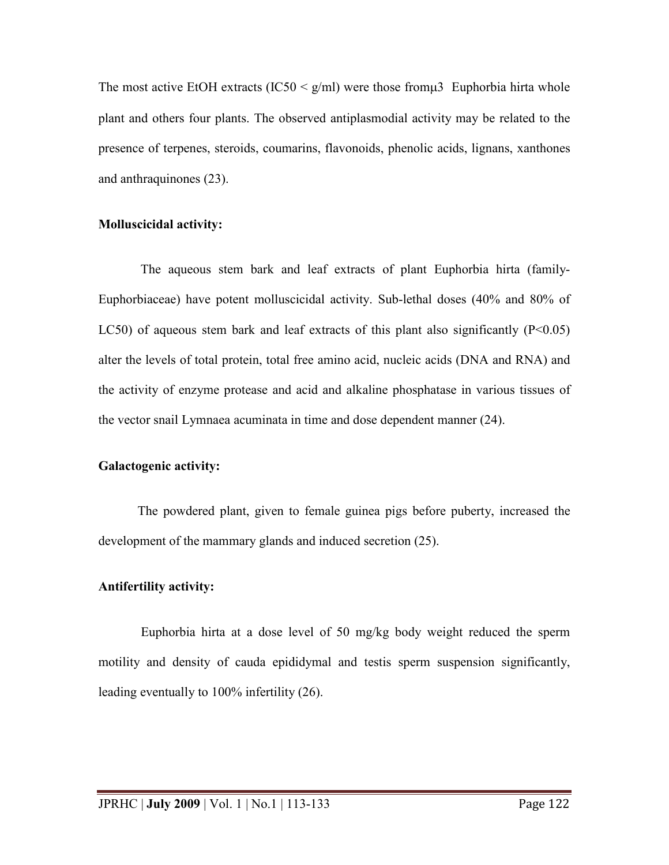The most active EtOH extracts (IC50  $\leq$  g/ml) were those from  $\mu$ 3 Euphorbia hirta whole plant and others four plants. The observed antiplasmodial activity may be related to the presence of terpenes, steroids, coumarins, flavonoids, phenolic acids, lignans, xanthones and anthraquinones (23).

## **Molluscicidal activity:**

The aqueous stem bark and leaf extracts of plant Euphorbia hirta (family-Euphorbiaceae) have potent molluscicidal activity. Sub-lethal doses (40% and 80% of LC50) of aqueous stem bark and leaf extracts of this plant also significantly  $(P<0.05)$ alter the levels of total protein, total free amino acid, nucleic acids (DNA and RNA) and the activity of enzyme protease and acid and alkaline phosphatase in various tissues of the vector snail Lymnaea acuminata in time and dose dependent manner (24).

## **Galactogenic activity:**

The powdered plant, given to female guinea pigs before puberty, increased the development of the mammary glands and induced secretion (25).

## **Antifertility activity:**

 Euphorbia hirta at a dose level of 50 mg/kg body weight reduced the sperm motility and density of cauda epididymal and testis sperm suspension significantly, leading eventually to 100% infertility (26).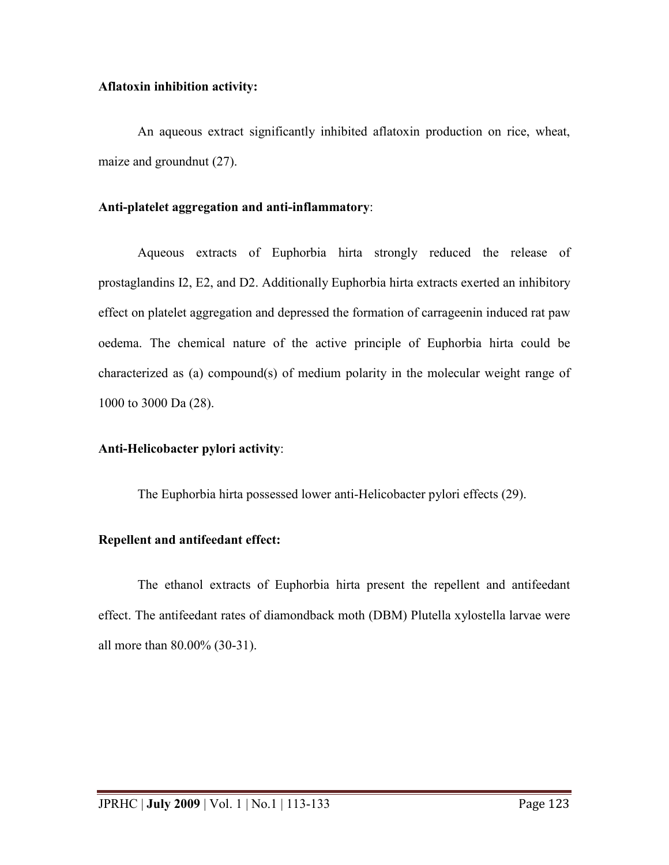## **Aflatoxin inhibition activity:**

An aqueous extract significantly inhibited aflatoxin production on rice, wheat, maize and groundnut (27).

# **Anti-platelet aggregation and anti-inflammatory**:

Aqueous extracts of Euphorbia hirta strongly reduced the release of prostaglandins I2, E2, and D2. Additionally Euphorbia hirta extracts exerted an inhibitory effect on platelet aggregation and depressed the formation of carrageenin induced rat paw oedema. The chemical nature of the active principle of Euphorbia hirta could be characterized as (a) compound(s) of medium polarity in the molecular weight range of 1000 to 3000 Da (28).

# **Anti-Helicobacter pylori activity**:

The Euphorbia hirta possessed lower anti-Helicobacter pylori effects (29).

# **Repellent and antifeedant effect:**

The ethanol extracts of Euphorbia hirta present the repellent and antifeedant effect. The antifeedant rates of diamondback moth (DBM) Plutella xylostella larvae were all more than 80.00% (30-31).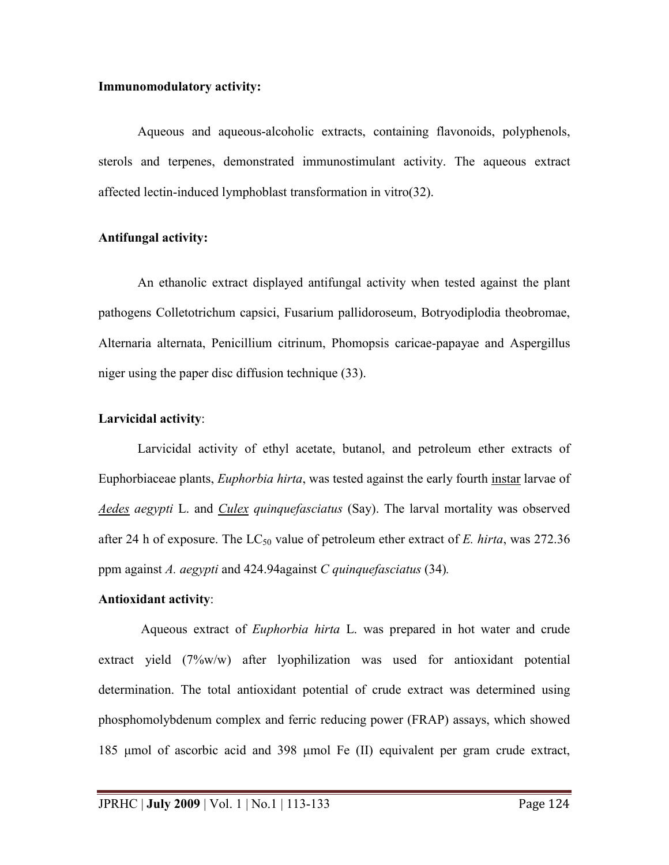#### **Immunomodulatory activity:**

Aqueous and aqueous-alcoholic extracts, containing flavonoids, polyphenols, sterols and terpenes, demonstrated immunostimulant activity. The aqueous extract affected lectin-induced lymphoblast transformation in vitro(32).

## **Antifungal activity:**

An ethanolic extract displayed antifungal activity when tested against the plant pathogens Colletotrichum capsici, Fusarium pallidoroseum, Botryodiplodia theobromae, Alternaria alternata, Penicillium citrinum, Phomopsis caricae-papayae and Aspergillus niger using the paper disc diffusion technique (33).

# **Larvicidal activity**:

Larvicidal activity of ethyl acetate, butanol, and petroleum ether extracts of Euphorbiaceae plants, *Euphorbia hirta*, was tested against the early fourth [instar](http://parasitology.informatik.uni-wuerzburg.de/login/frame.php?splink=/login/n/h//0716.html) larvae of *[Aedes](http://parasitology.informatik.uni-wuerzburg.de/login/frame.php?splink=/login/n/h//0038.html) aegypti* L. and *[Culex q](http://parasitology.informatik.uni-wuerzburg.de/login/frame.php?splink=/login/n/h//0327.html)uinquefasciatus* (Say). The larval mortality was observed after 24 h of exposure. The  $LC_{50}$  value of petroleum ether extract of *E. hirta*, was 272.36 ppm against *A. aegypti* and 424.94against *C quinquefasciatus* (34)*.*

# **Antioxidant activity**:

 Aqueous extract of *Euphorbia hirta* L. was prepared in hot water and crude extract yield (7%w/w) after lyophilization was used for antioxidant potential determination. The total antioxidant potential of crude extract was determined using phosphomolybdenum complex and ferric reducing power (FRAP) assays, which showed 185 µmol of ascorbic acid and 398 µmol Fe (II) equivalent per gram crude extract,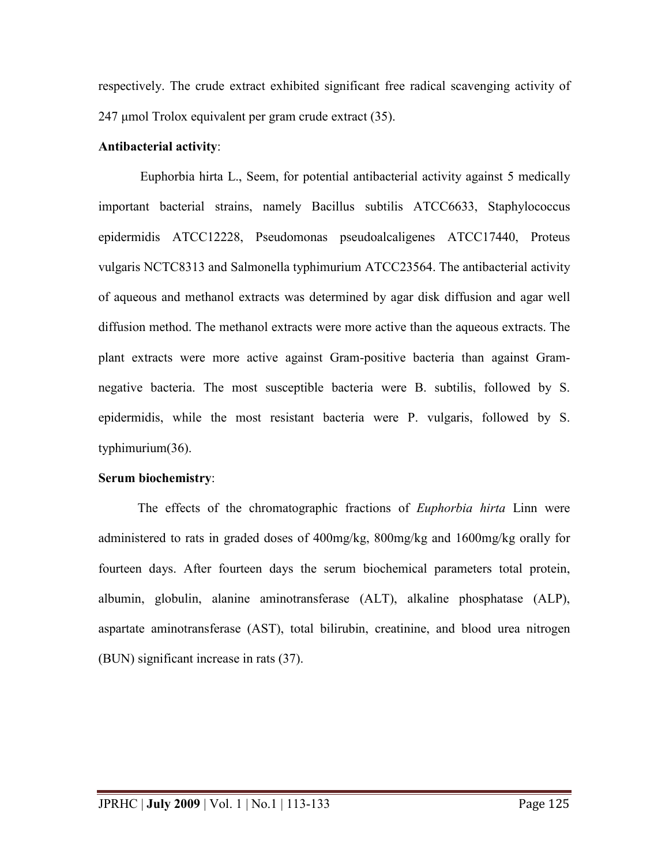respectively. The crude extract exhibited significant free radical scavenging activity of 247 µmol Trolox equivalent per gram crude extract (35).

## **Antibacterial activity**:

Euphorbia hirta L., Seem, for potential antibacterial activity against 5 medically important bacterial strains, namely Bacillus subtilis ATCC6633, Staphylococcus epidermidis ATCC12228, Pseudomonas pseudoalcaligenes ATCC17440, Proteus vulgaris NCTC8313 and Salmonella typhimurium ATCC23564. The antibacterial activity of aqueous and methanol extracts was determined by agar disk diffusion and agar well diffusion method. The methanol extracts were more active than the aqueous extracts. The plant extracts were more active against Gram-positive bacteria than against Gramnegative bacteria. The most susceptible bacteria were B. subtilis, followed by S. epidermidis, while the most resistant bacteria were P. vulgaris, followed by S. typhimurium(36).

# **Serum biochemistry**:

The effects of the chromatographic fractions of *Euphorbia hirta* Linn were administered to rats in graded doses of 400mg/kg, 800mg/kg and 1600mg/kg orally for fourteen days. After fourteen days the serum biochemical parameters total protein, albumin, globulin, alanine aminotransferase (ALT), alkaline phosphatase (ALP), aspartate aminotransferase (AST), total bilirubin, creatinine, and blood urea nitrogen (BUN) significant increase in rats (37).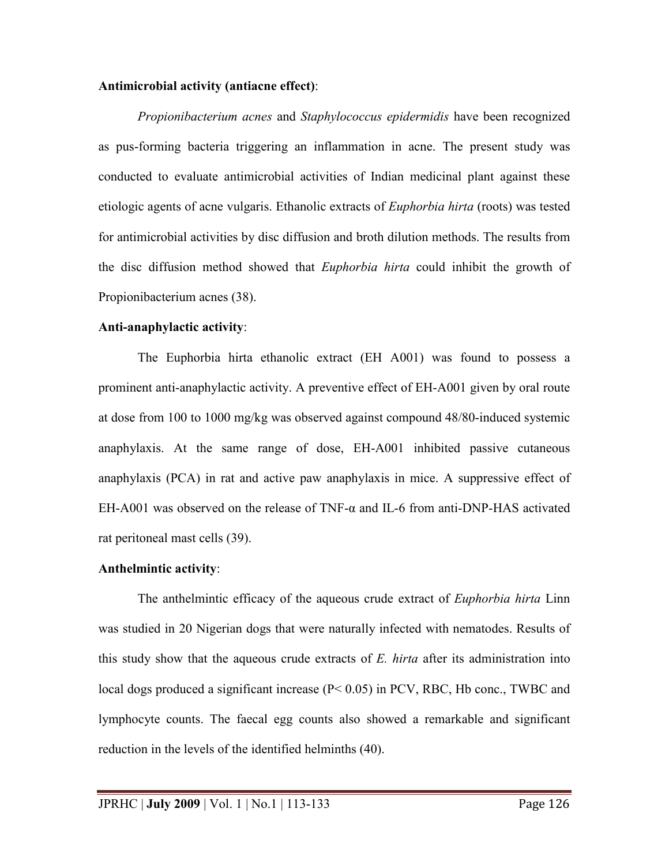#### **Antimicrobial activity (antiacne effect)**:

 *Propionibacterium acnes* and *Staphylococcus epidermidis* have been recognized as pus-forming bacteria triggering an inflammation in acne. The present study was conducted to evaluate antimicrobial activities of Indian medicinal plant against these etiologic agents of acne vulgaris. Ethanolic extracts of *Euphorbia hirta* (roots) was tested for antimicrobial activities by disc diffusion and broth dilution methods. The results from the disc diffusion method showed that *Euphorbia hirta* could inhibit the growth of Propionibacterium acnes (38).

## **Anti-anaphylactic activity**:

The Euphorbia hirta ethanolic extract (EH A001) was found to possess a prominent anti-anaphylactic activity. A preventive effect of EH-A001 given by oral route at dose from 100 to 1000 mg/kg was observed against compound 48/80-induced systemic anaphylaxis. At the same range of dose, EH-A001 inhibited passive cutaneous anaphylaxis (PCA) in rat and active paw anaphylaxis in mice. A suppressive effect of EH-A001 was observed on the release of TNF- $\alpha$  and IL-6 from anti-DNP-HAS activated rat peritoneal mast cells (39).

## **Anthelmintic activity**:

The anthelmintic efficacy of the aqueous crude extract of *Euphorbia hirta* Linn was studied in 20 Nigerian dogs that were naturally infected with nematodes. Results of this study show that the aqueous crude extracts of *E. hirta* after its administration into local dogs produced a significant increase (P< 0.05) in PCV, RBC, Hb conc., TWBC and lymphocyte counts. The faecal egg counts also showed a remarkable and significant reduction in the levels of the identified helminths (40).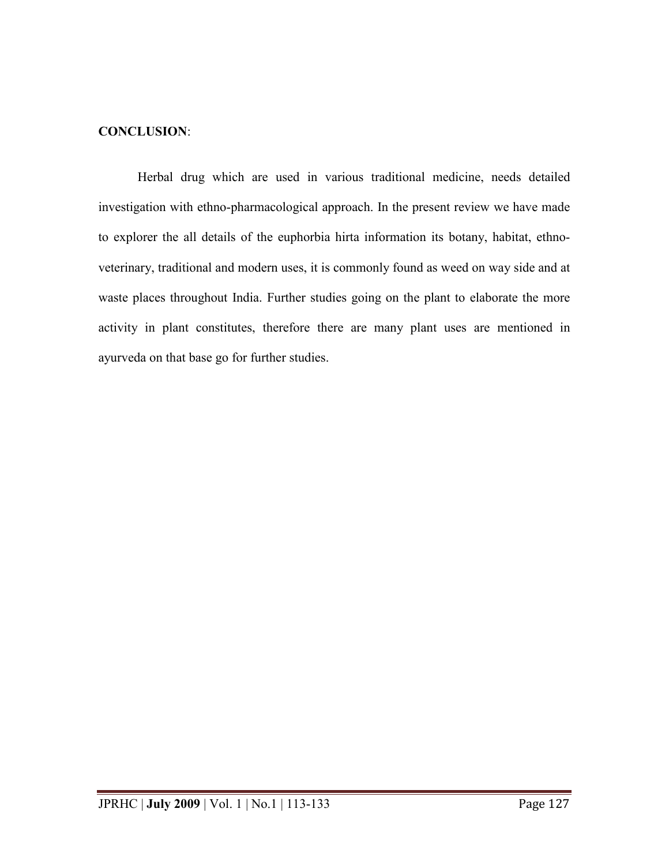## **CONCLUSION**:

Herbal drug which are used in various traditional medicine, needs detailed investigation with ethno-pharmacological approach. In the present review we have made to explorer the all details of the euphorbia hirta information its botany, habitat, ethnoveterinary, traditional and modern uses, it is commonly found as weed on way side and at waste places throughout India. Further studies going on the plant to elaborate the more activity in plant constitutes, therefore there are many plant uses are mentioned in ayurveda on that base go for further studies.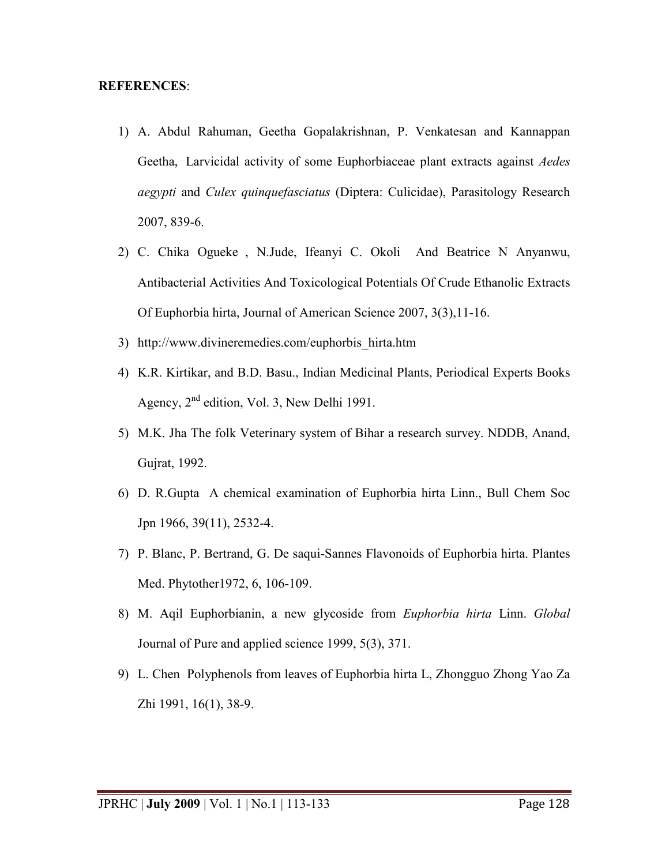#### **REFERENCES**:

- 1) A. Abdul Rahuman, Geetha Gopalakrishnan, P. Venkatesan and Kannappan Geetha, Larvicidal activity of some Euphorbiaceae plant extracts against *Aedes aegypti* and *[Culex q](http://parasitology.informatik.uni-wuerzburg.de/login/frame.php?splink=/login/n/h//0327.html)uinquefasciatus* (D[iptera:](http://parasitology.informatik.uni-wuerzburg.de/login/frame.php?splink=/login/n/h//0403.html) Culicidae), Parasitology Research 2007, 839-6.
- 2) C. Chika Ogueke , N.Jude, Ifeanyi C. Okoli And Beatrice N Anyanwu, Antibacterial Activities And Toxicological Potentials Of Crude Ethanolic Extracts Of Euphorbia hirta, Journal of American Science 2007, 3(3),11-16.
- 3) [http://www.divineremedies.com/euphorbis\\_hirta.htm](http://www.divineremedies.com/euphorbis_hirta.htm)
- 4) K.R. Kirtikar, and B.D. Basu., Indian Medicinal Plants, Periodical Experts Books Agency,  $2<sup>nd</sup>$  edition, Vol. 3, New Delhi 1991.
- 5) M.K. Jha The folk Veterinary system of Bihar a research survey. NDDB, Anand, Gujrat, 1992.
- 6) D. R.Gupta A chemical examination of Euphorbia hirta Linn., Bull Chem Soc Jpn 1966, 39(11), 2532-4.
- 7) P. Blanc, P. Bertrand, G. De saqui-Sannes Flavonoids of Euphorbia hirta. Plantes Med. Phytother1972, 6, 106-109.
- 8) M. Aqil Euphorbianin, a new glycoside from *Euphorbia hirta* Linn. *Global*  Journal of Pure and applied science 1999, 5(3), 371.
- 9) L. [Chen P](http://www.ncbi.nlm.nih.gov/pubmed/2069701?ordinalpos=29&itool=EntrezSystem2.PEntrez.Pubmed.Pubmed_ResultsPanel.Pubmed_RVDocSum)olyphenols from leaves of Euphorbia hirta L, Zhongguo Zhong Yao Za Zhi 1991, 16(1), 38-9.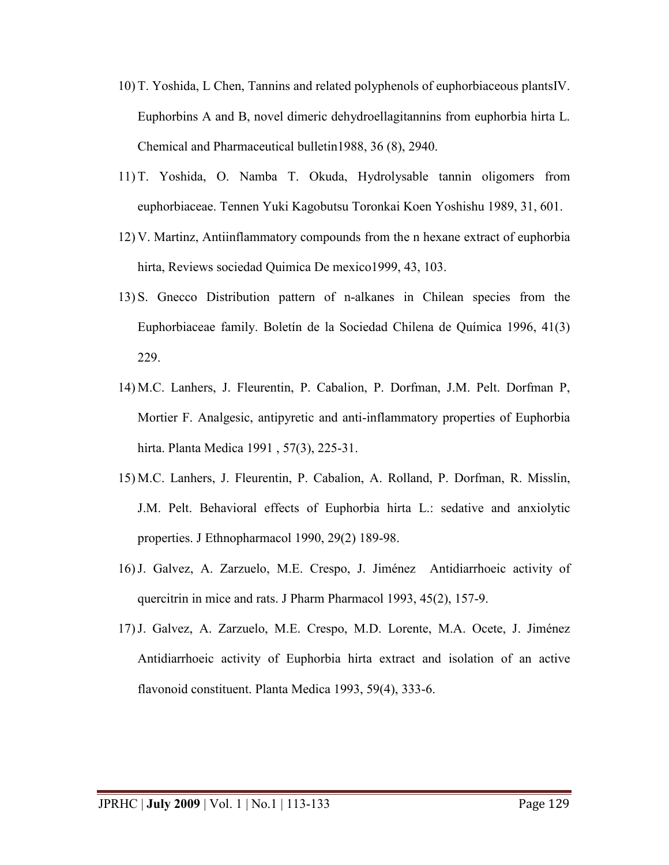- 10) T. Yoshida, L Chen, Tannins and related polyphenols of euphorbiaceous plantsIV. Euphorbins A and B, novel dimeric dehydroellagitannins from euphorbia hirta L. Chemical and Pharmaceutical bulletin1988, 36 (8), 2940.
- 11) T. Yoshida, O. Namba T. Okuda, Hydrolysable tannin oligomers from euphorbiaceae. Tennen Yuki Kagobutsu Toronkai Koen Yoshishu 1989, 31, 601.
- 12) V. Martinz, Antiinflammatory compounds from the n hexane extract of euphorbia hirta, Reviews sociedad Quimica De mexico1999, 43, 103.
- 13) S. Gnecco Distribution pattern of n-alkanes in Chilean species from the Euphorbiaceae family. Boletín de la Sociedad Chilena de Química 1996, 41(3) 229.
- 14) M.C. [Lanhers, J. Fleurentin, P. Cabalion, P. Dorfman, J.M. Pelt.](http://www.ncbi.nlm.nih.gov/pubmed/1973750?ordinalpos=30&itool=EntrezSystem2.PEntrez.Pubmed.Pubmed_ResultsPanel.Pubmed_RVDocSum) Dorfman P, Mortier F. Analgesic, antipyretic and anti-inflammatory properties of Euphorbia hirta. Planta Medica 1991 , 57(3), 225-31.
- 15) M.C. [Lanhers, J. Fleurentin, P. Cabalion, A. Rolland, P. Dorfman, R. Misslin,](http://www.ncbi.nlm.nih.gov/pubmed/1973750?ordinalpos=30&itool=EntrezSystem2.PEntrez.Pubmed.Pubmed_ResultsPanel.Pubmed_RVDocSum) [J.M. Pelt.](http://www.ncbi.nlm.nih.gov/pubmed/1973750?ordinalpos=30&itool=EntrezSystem2.PEntrez.Pubmed.Pubmed_ResultsPanel.Pubmed_RVDocSum) Behavioral effects of Euphorbia hirta L.: sedative and anxiolytic properties. J Ethnopharmacol 1990, 29(2) 189-98.
- 16)J. [Galvez, A. Zarzuelo, M.E. Crespo, J. Jiménez A](http://www.ncbi.nlm.nih.gov/pubmed/8372151?ordinalpos=25&itool=EntrezSystem2.PEntrez.Pubmed.Pubmed_ResultsPanel.Pubmed_RVDocSum)ntidiarrhoeic activity of quercitrin in mice and rats. J Pharm Pharmacol 1993, 45(2), 157-9.
- 17)J. [Galvez, A. Zarzuelo, M.E. Crespo, M.D. Lorente, M.A. Ocete, J. Jiménez](http://www.ncbi.nlm.nih.gov/pubmed/8372151?ordinalpos=25&itool=EntrezSystem2.PEntrez.Pubmed.Pubmed_ResultsPanel.Pubmed_RVDocSum)  Antidiarrhoeic activity of Euphorbia hirta extract and isolation of an active flavonoid constituent. Planta Medica 1993, 59(4), 333-6.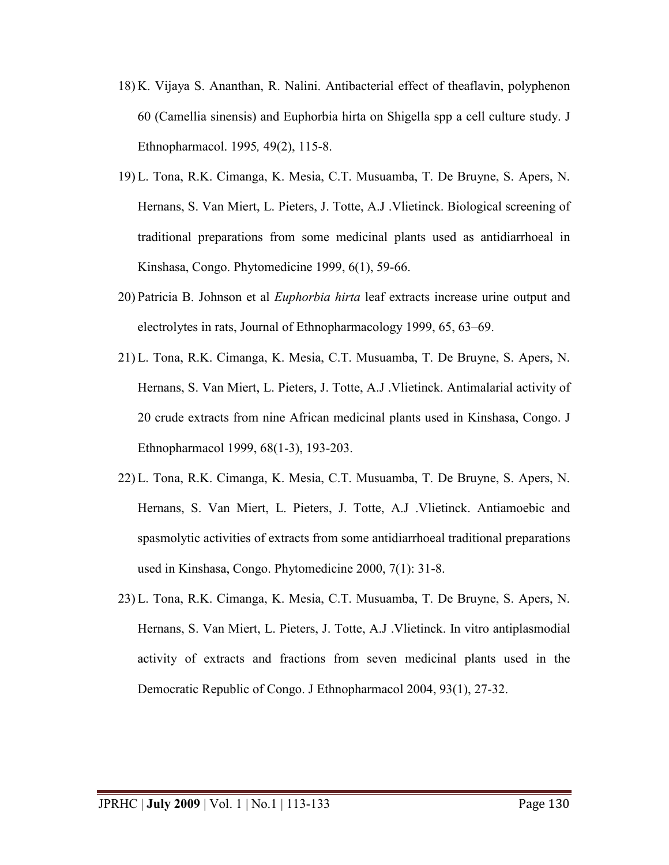- 18) K. Vijaya S. Ananthan, R. Nalini. Antibacterial effect of theaflavin, polyphenon 60 (Camellia sinensis) and Euphorbia hirta on Shigella spp a cell culture study. J Ethnopharmacol. 1995*,* 49(2), 115-8.
- 19) L. Tona, R.K. Cimanga, K. Mesia, C.T. Musuamba, T. De Bruyne, S. Apers, N. Hernans, S. Van Miert, L. Pieters, J. Totte, A.J .Vlietinck. Biological screening of traditional preparations from some medicinal plants used as antidiarrhoeal in Kinshasa, Congo. Phytomedicine 1999, 6(1), 59-66.
- 20) Patricia B. Johnson et al *Euphorbia hirta* leaf extracts increase urine output and electrolytes in rats, Journal of Ethnopharmacology 1999, 65, 63–69.
- 21) L. Tona, R.K. Cimanga, K. Mesia, C.T. Musuamba, T. De Bruyne, S. Apers, N. Hernans, S. Van Miert, L. Pieters, J. Totte, A.J .Vlietinck. Antimalarial activity of 20 crude extracts from nine African medicinal plants used in Kinshasa, Congo. J Ethnopharmacol 1999, 68(1-3), 193-203.
- 22) L. Tona, R.K. Cimanga, K. Mesia, C.T. Musuamba, T. De Bruyne, S. Apers, N. Hernans, S. Van Miert, L. Pieters, J. Totte, A.J .Vlietinck. Antiamoebic and spasmolytic activities of extracts from some antidiarrhoeal traditional preparations used in Kinshasa, Congo. Phytomedicine 2000, 7(1): 31-8.
- 23) L. Tona, R.K. Cimanga, K. Mesia, C.T. Musuamba, T. De Bruyne, S. Apers, N. Hernans, S. Van Miert, L. Pieters, J. Totte, A.J .Vlietinck. In vitro antiplasmodial activity of extracts and fractions from seven medicinal plants used in the Democratic Republic of Congo. J Ethnopharmacol 2004, 93(1), 27-32.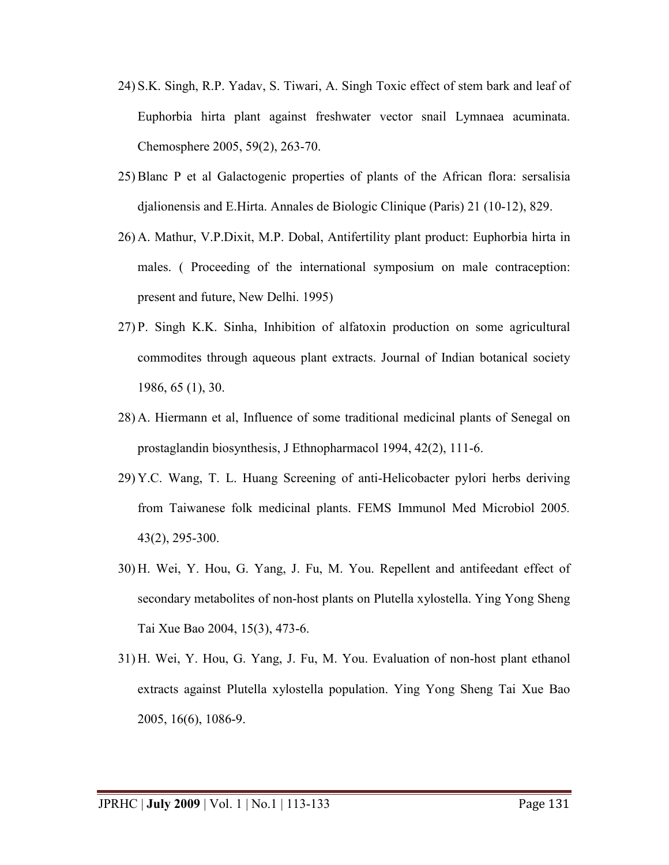- 24) S.K. Singh, R.P. Yadav, S. Tiwari, A. Singh Toxic effect of stem bark and leaf of Euphorbia hirta plant against freshwater vector snail Lymnaea acuminata. Chemosphere 2005, 59(2), 263-70.
- 25) Blanc P et al Galactogenic properties of plants of the African flora: sersalisia djalionensis and E.Hirta. Annales de Biologic Clinique (Paris) 21 (10-12), 829.
- 26) A. Mathur, V.P.Dixit, M.P. Dobal, Antifertility plant product: Euphorbia hirta in males. ( Proceeding of the international symposium on male contraception: present and future, New Delhi. 1995)
- 27) P. Singh K.K. Sinha, Inhibition of alfatoxin production on some agricultural commodites through aqueous plant extracts. Journal of Indian botanical society 1986, 65 (1), 30.
- 28) A. Hiermann et al, Influence of some traditional medicinal plants of Senegal on prostaglandin biosynthesis, J Ethnopharmacol 1994, 42(2), 111-6.
- 29) Y.C. Wang, T. L. Huang Screening of anti-Helicobacter pylori herbs deriving from Taiwanese folk medicinal plants. FEMS Immunol Med Microbiol 2005*.* 43(2), 295-300.
- 30) H. Wei, Y. Hou, G. Yang, J. Fu, M. You. Repellent and antifeedant effect of secondary metabolites of non-host plants on Plutella xylostella. Ying Yong Sheng Tai Xue Bao 2004, 15(3), 473-6.
- 31) H. Wei, Y. Hou, G. Yang, J. Fu, M. You. Evaluation of non-host plant ethanol extracts against Plutella xylostella population. Ying Yong Sheng Tai Xue Bao 2005, 16(6), 1086-9.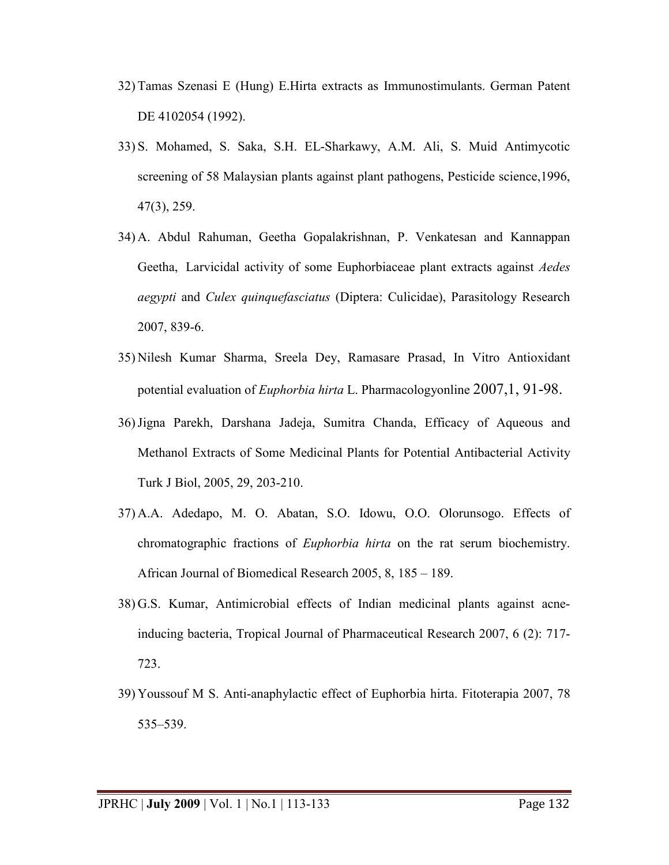- 32) Tamas Szenasi E (Hung) E.Hirta extracts as Immunostimulants. German Patent DE 4102054 (1992).
- 33) S. Mohamed, S. Saka, S.H. EL-Sharkawy, A.M. Ali, S. Muid Antimycotic screening of 58 Malaysian plants against plant pathogens, Pesticide science,1996, 47(3), 259.
- 34) A. Abdul Rahuman, Geetha Gopalakrishnan, P. Venkatesan and Kannappan Geetha, Larvicidal activity of some Euphorbiaceae plant extracts against *Aedes aegypti* and *[Culex q](http://parasitology.informatik.uni-wuerzburg.de/login/frame.php?splink=/login/n/h//0327.html)uinquefasciatus* (D[iptera:](http://parasitology.informatik.uni-wuerzburg.de/login/frame.php?splink=/login/n/h//0403.html) Culicidae), Parasitology Research 2007, 839-6.
- 35) Nilesh Kumar Sharma, Sreela Dey, Ramasare Prasad, In Vitro Antioxidant potential evaluation of *Euphorbia hirta* L. Pharmacologyonline 2007,1, 91-98.
- 36)Jigna Parekh, Darshana Jadeja, Sumitra Chanda, Efficacy of Aqueous and Methanol Extracts of Some Medicinal Plants for Potential Antibacterial Activity Turk J Biol, 2005, 29, 203-210.
- 37) A.A. Adedapo, M. O. Abatan, S.O. Idowu, O.O. Olorunsogo. Effects of chromatographic fractions of *Euphorbia hirta* on the rat serum biochemistry. African Journal of Biomedical Research 2005, 8, 185 – 189.
- 38) G.S. Kumar, Antimicrobial effects of Indian medicinal plants against acneinducing bacteria, Tropical Journal of Pharmaceutical Research 2007, 6 (2): 717- 723.
- 39) Youssouf M S. Anti-anaphylactic effect of Euphorbia hirta. Fitoterapia 2007, 78 535–539.